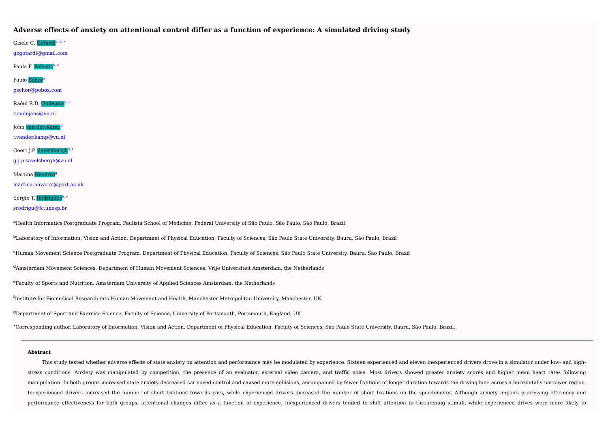#### Adverse effects of anxiety on attentional control differ as a function of experience: A simulated driving study

Gisele C. Gotardi<sup>a, b,</sup> <sup>∗</sup>

**gcgotardi@gmail.com**

Paula F. Polastri<sup>b, c</sup>

Paulo Schor

**pschor@pobox.com**

**Raôul R.D. Qudejans**<sup>d,</sup>

**r.oudejans@vu.nl**

**John** van der Kamp

**j.vander.kamp@vu.nl**

Geert J.P. Savelsbergh<sup>d,</sup>

**g.j.p.savelsbergh@vu.nl**

**Martina Navarro** 

**martina.navarro@port.ac.uk**

**Sérgio T.** Rodrigues

**srodrigu@fc.unesp.br**

<sup>a</sup>Health Informatics Postgraduate Program, Paulista School of Medicine, Federal University of São Paulo, São Paulo, São Paulo, Brazil

**b**Laboratory of Information, Vision and Action, Department of Physical Education, Faculty of Sciences, São Paulo State University, Bauru, São Paulo, Brazil

<sup>c</sup>Human Movement Science Postgraduate Program, Department of Physical Education, Faculty of Sciences, São Paulo State University, Bauru, Sao Paulo, Brazil

**dAmsterdam Movement Sciences, Department of Human Movement Sciences, Vrije Universiteit Amsterdam, the Netherlands** 

**e**Faculty of Sports and Nutrition, Amsterdam University of Applied Sciences Amsterdam, the Netherlands

 $^{\rm f}$ Institute for Biomedical Research into Human Movement and Health, Manchester Metropolitan University, Manchester, UK

**<sup>g</sup>Department of Sport and Exercise Science, Faculty of Science, University of Portsmouth, Portsmouth, England, UK**

**<sup>∗</sup>Corresponding author. Laboratory of Information, Vision and Action, Department of Physical Education, Faculty of Sciences, São Paulo State University, Bauru, São Paulo, Brazil.**

#### **Abstract**

This study tested whether adverse effects of state anxiety on attention and performance may be modulated by experience. Sixteen experienced and eleven inexperienced drivers drove in a simulator under low- and highstress conditions. Anxiety was manipulated by competition, the presence of an evaluator, external video camera, and traffic noise. Most drivers showed greater anxiety scores and higher mean heart rates following manipulation. In both groups increased state anxiety decreased car speed control and caused more collisions, accompanied by fewer fixations of longer duration towards the driving lane across a horizontally narrower region. Inexperienced drivers increased the number of short fixations towards cars, while experienced drivers increased the number of short fixations on the speedometer. Although anxiety impairs processing efficiency and performance effectiveness for both groups, attentional changes differ as a function of experience. Inexperienced drivers tended to shift attention to threatening stimuli, while experienced drives were more likely to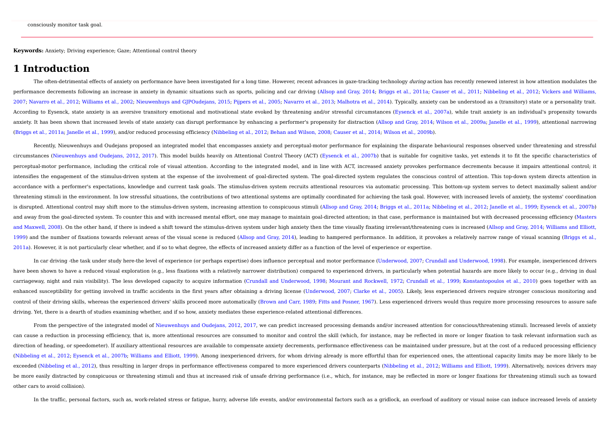**Keywords:** Anxiety; Driving experience; Gaze; Attentional control theory

# **1 Introduction**

The often-detrimental effects of anxiety on performance have been investigated for a long time. However, recent advances in gaze-tracking technology during action has recently renewed interest in how attention modulates th performance decrements following an increase in anxiety in dynamic situations such as sports, policing and car driving (Allsop and Gray, 2014; Briggs et al., 2011a; Causer et al., 2011; Nibbeling et al., 2012; Vickers and 2007: Navarro et al., 2012: Williams et al., 2002: Nieuwenhuys and GIPOudeians, 2015: Piipers et al., 2005: Navarro et al., 2013: Malhotra et al., 2014). Typically, anxiety can be understood as a (transitory) state or a pe According to Eysenck, state anxiety is an aversive transitory emotional and motivational state evoked by threatening and/or stressful circumstances (Eysenck et al., 2007a), while trait anxiety is an individual's propensity anxiety. It has been shown that increased levels of state anxiety can disrupt performance by enhancing a performer's propensity for distraction (Allsop and Gray, 2014; Wilson et al., 2009a; Janelle et al., 1999), attention **(Briggs et al., 2011a; Janelle et al., 1999), and/or reduced processing efficiency (Nibbeling et al., 2012; Behan and Wilson, 2008; Causer et al., 2014; Wilson et al., 2009b).** 

Recently, Nieuwenhuys and Oudejans proposed an integrated model that encompasses anxiety and perceptual-motor performance for explaining the disparate behavioural responses observed under threatening and stressful circumstances (Nieuwenhuys and Oudejans, 2012, 2017). This model builds heavily on Attentional Control Theory (ACT) (Eysenck et al., 2007b) that is suitable for cognitive tasks, yet extends it to fit the specific character perceptual-motor performance, including the critical role of visual attention. According to the integrated model, and in line with ACT, increased anxiety provokes performance decrements because it impairs attentional contr intensifies the engagement of the stimulus-driven system at the expense of the involvement of goal-directed system. The goal-directed system regulates the conscious control of attention. This top-down system directs attent accordance with a performer's expectations, knowledge and current task goals. The stimulus-driven system recruits attentional resources via automatic processing. This bottom-up system serves to detect maximally salient and threatening stimuli in the environment. In low stressful situations, the contributions of two attentional systems are optimally coordinated for achieving the task goal. However, with increased levels of anxiety, the system is disrupted. Attentional control may shift more to the stimulus-driven system, increasing attention to conspicuous stimuli (Allsop and Gray, 2014; Briggs et al., 2011a; Nibbeling et al., 2012; Janelle et al., 1999; Eysenc and away from the goal-directed system. To counter this and with increased mental effort, one may manage to maintain goal-directed attention; in that case, performance is maintained but with decreased processing efficiency and Maxwell, 2008). On the other hand, if there is indeed a shift toward the stimulus-driven system under high anxiety then the time visually fixating irrelevant/threatening cues is increased (Allsop and Gray, 2014; Willia 1999) and the number of fixations towards relevant areas of the visual scene is reduced (Allsop and Gray, 2014), leading to hampered performance. In addition, it provokes a relatively narrow range of visual scanning (Brigg **2011a**). However, it is not particularly clear whether, and if so to what degree, the effects of increased anxiety differ as a function of the level of experience or expertise.

In car driving -the task under study here-the level of experience (or perhaps expertise) does influence perceptual and motor performance (Underwood, 2007; Crundall and Underwood, 1998). For example, inexperienced drivers have been shown to have a reduced visual exploration (e.g., less fixations with a relatively narrower distribution) compared to experienced drivers, in particularly when potential hazards are more likely to occur (e.g., dr carriageway, night and rain visibility). The less developed capacity to acquire information (Crundall and Underwood, 1998; Mourant and Rockwell, 1972; Crundall et al., 1999; Konstantopoulos et al., 2010) goes together with enhanced susceptibility for getting involved in traffic accidents in the first years after obtaining a driving license (Underwood, 2007; Clarke et al., 2005). Likely, less experienced drivers require stronger conscious mon control of their driving skills, whereas the experienced drivers' skills proceed more automatically (Brown and Carr, 1989; Fitts and Posner, 1967). Less experienced drivers would thus require more processing resources to a driving. Yet, there is a dearth of studies examining whether, and if so how, anxiety mediates these experience-related attentional differences.

From the perspective of the integrated model of Nieuwenhuys and Oudejans, 2012, 2017, we can predict increased processing demands and/or increased attention for conscious/threatening stimuli. Increased levels of anxiety can cause a reduction in processing efficiency, that is, more attentional resources are consumed to monitor and control the skill (which, for instance, may be reflected in more or longer fixation to task relevant informati direction of heading, or speedometer). If auxiliary attentional resources are available to compensate anxiety decrements, performance effectiveness can be maintained under pressure, but at the cost of a reduced processing (Nibbeling et al., 2012; Eysenck et al., 2007b; Williams and Elliott, 1999). Among inexperienced drivers, for whom driving already is more effortful than for experienced ones, the attentional capacity limits may be more li exceeded (Nibbeling et al., 2012), thus resulting in larger drops in performance effectiveness compared to more experienced drivers counterparts (Nibbeling et al., 2012; Williams and Elliott, 1999). Alternatively, novices be more easily distracted by conspicuous or threatening stimuli and thus at increased risk of unsafe driving performance (i.e., which, for instance, may be reflected in more or longer fixations for threatening stimuli such other cars to avoid collision).

In the traffic, personal factors, such as, work-related stress or fatique, hurry, adverse life events, and/or environmental factors such as a gridlock, an overload of auditory or visual noise can induce increased levels of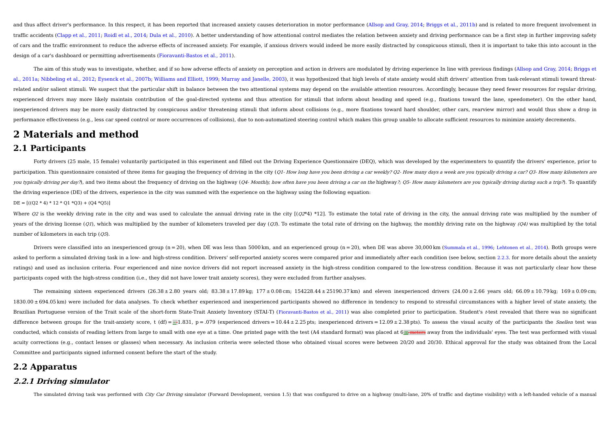and thus affect driver's performance. In this respect, it has been reported that increased anxiety causes deterioration in motor performance (Allsop and Gray, 2014; Briggs et al., 2011b) and is related to more frequent inv traffic accidents (Clapp et al., 2011; Roidl et al., 2014; Dula et al., 2010). A better understanding of how attentional control mediates the relation between anxiety and driving performance can be a first step in further of cars and the traffic environment to reduce the adverse effects of increased anxiety. For example, if anxious drivers would indeed be more easily distracted by conspicuous stimuli, then it is important to take this into design of a car's dashboard or permitting advertisements (Fioravanti-Bastos et al., 2011).

The aim of this study was to investigate, whether, and if so how adverse effects of anxiety on perception and action in drivers are modulated by driving experience In line with previous findings (Allsop and Gray, 2014; Bri al., 2011a; Nibbeling et al., 2012; Eysenck et al., 2007b; Williams and Elliott, 1999; Murray and Janelle, 2003), it was hypothesized that high levels of state anxiety would shift drivers' attention from task-relevant stim related and/or salient stimuli. We suspect that the particular shift in balance between the two attentional systems may depend on the available attention resources. Accordingly, because they need fewer resources for regula experienced drivers may more likely maintain contribution of the goal-directed systems and thus attention for stimuli that inform about heading and speed (e.g., fixations toward the lane, speedometer). On the other hand, inexperienced drivers may be more easily distracted by conspicuous and/or threatening stimuli that inform about collisions (e.g., more fixations toward hard shoulder, other cars, rearview mirror) and would thus show a drop performance effectiveness (e.g., less car speed control or more occurrences of collisions), due to non-automatized steering control which makes this group unable to allocate sufficient resources to minimize anxiety decreme

# **2 Materials and method**

### **2.1 Participants**

Forty drivers (25 male, 15 female) voluntarily participated in this experiment and filled out the Driving Experience Questionnaire (DEQ), which was developed by the experimenters to quantify the drivers' experience, prior participation. This questionnaire consisted of three items for gauging the frequency of driving in the city (Q1- How long have you been driving a car weekly? Q2- How many days a week are you typically driving a car? Q3- Ho you typically driving per day?), and two items about the frequency of driving on the highway (04-Monthly, how often have you been driving a car on the highway?; 05- How many kilometers are you typically driving during such the driving experience (DE) of the drivers, experience in the city was summed with the experience on the highway using the following equation:

#### $DE = [((Q2 * 4) * 12 * Q1 * Q3) + (Q4 * Q5)]$

Where 02 is the weekly driving rate in the city and was used to calculate the annual driving rate in the city  $[(02*4) *12]$ . To estimate the total rate of driving in the city, the annual driving rate was multiplied by the years of the driving license (Q1), which was multiplied by the number of kilometers traveled per day (Q3). To estimate the total rate of driving on the highway, the monthly driving rate on the highway (Q4) was multiplied b number of kilometers in each trip ( $Q5$ ).

Drivers were classified into an inexperienced group  $(n = 20)$ , when DE was less than 5000 km, and an experienced group  $(n = 20)$ , when DE was above 30,000 km (Summala et al., 1996; Lehtonen et al., 2014). Both groups were asked to perform a simulated driving task in a low- and high-stress condition. Drivers' self-reported anxiety scores were compared prior and immediately after each condition (see below, section 2.2.3, for more details abou ratings) and used as inclusion criteria. Four experienced and nine novice drivers did not report increased anxiety in the high-stress condition compared to the low-stress condition. Because it was not particularly clear ho participants coped with the high-stress condition (i.e., they did not have lower trait anxiety scores), they were excluded from further analyses.

The remaining sixteen experienced drivers (26.38±2.80 years old; 83.38±17.89 kg; 177±0.08cm; 154228.44±25190.37 km) and eleven inexperienced drivers (24.00±2.66 years old; 66.09±10.79 kg; 169±0.09cm; 1830.00 ± 694.05 km) were included for data analyses. To check whether experienced and inexperienced participants showed no difference in tendency to respond to stressful circumstances with a higher level of state anxiety, Brazilian Portuguese version of the Trait scale of the short-form State-Trait Anxiety Inventory (STAI-T) (Fioravanti-Bastos et al., 2011) was also completed prior to participation. Student's t-test revealed that there was difference between groups for the trait-anxiety score, t (df) = -1.831, p = .079 (experienced drivers = 10.44 ± 2.25 pts; inexperienced drivers = 12.09 ± 2.38 pts). To assess the visual acuity of the participants the Snel conducted, which consists of reading letters from large to small with one eye at a time. One printed page with the test (A4 standard format) was placed at 6 members away from the individuals' eyes. The test was performed w acuity corrections (e.g., contact lenses or glasses) when necessary. As inclusion criteria were selected those who obtained visual scores were between 20/20 and 20/30. Ethical approval for the study was obtained from the L Committee and participants signed informed consent before the start of the study.

#### **2.2 Apparatus**

#### **2.2.1 Driving simulator**

The simulated driving task was performed with City Car Driving simulator (Forward Development, version 1.5) that was configured to drive on a highway (multi-lane, 20% of traffic and daytime visibility) with a left-handed v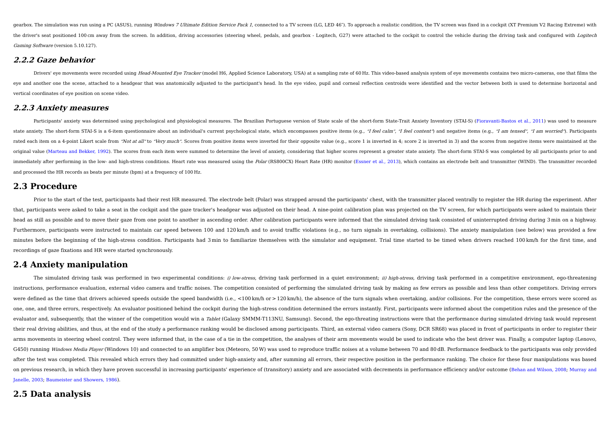gearbox. The simulation was run using a PC (ASUS), running Windows 7 Ultimate Edition Service Pack 1, connected to a TV screen (LG, LED 46"). To approach a realistic condition, the TV screen was fixed in a cockpit (XT Prem the driver's seat positioned 100 cm away from the screen. In addition, driving accessories (steering wheel, pedals, and gearbox - Logitech, G27) were attached to the cockpit to control the vehicle during the driving task a Gaming Software (version 5.10.127).

#### **2.2.2 Gaze behavior**

Drivers' eye movements were recorded using Head-Mounted Eye Tracker (model H6, Applied Science Laboratory, USA) at a sampling rate of 60 Hz. This video-based analysis system of eye movements contains two micro-cameras, one eye and another one the scene, attached to a headgear that was anatomically adjusted to the participant's head. In the eye video, pupil and corneal reflection centroids were identified and the vector between both is used t vertical coordinates of eye position on scene video.

#### **2.2.3 Anxiety measures**

Participants' anxiety was determined using psychological and physiological measures. The Brazilian Portuguese version of State scale of the short-form State-Trait Anxiety Inventory (STAI-S) (Fioravanti-Bastos et al., 2011) state anxiety. The short-form STAI-S is a 6-item questionnaire about an individual's current psychological state, which encompasses positive items (e.g., "I feel calm", "I feel content") and negative items (e.g., "I am ten rated each item on a 4-point Likert scale from "Not at all" to "Very much". Scores from positive items were inverted for their opposite value (e.g., score 1 is inverted in 4; score 2 is inverted in 3) and the scores from n original value (Marteau and Bekker, 1992). The scores from each item were summed to determine the level of anxiety, considering that higher scores represent a greater state anxiety. The short-form STAI-S was completed by a immediately after performing in the low- and high-stress conditions. Heart rate was measured using the Polar (RS800CX) Heart Rate (HR) monitor (Essner et al., 2013), which contains an electrode belt and transmitter (WIND). and processed the HR records as beats per minute (bpm) at a frequency of 100 Hz.

## **2.3 Procedure**

Prior to the start of the test, participants had their rest HR measured. The electrode belt (Polar) was strapped around the participants' chest, with the transmitter placed ventrally to register the HR during the experimen that, participants were asked to take a seat in the cockpit and the gaze tracker's headgear was adjusted on their head. A nine-point calibration plan was projected on the TV screen, for which participants were asked to mai head as still as possible and to move their gaze from one point to another in ascending order. After calibration participants were informed that the simulated driving task consisted of uninterrupted driving during 3 min on Furthermore, participants were instructed to maintain car speed between 100 and 120 km/h and to avoid traffic violations (e.g., no turn signals in overtaking, collisions). The anxiety manipulation (see below) was provided minutes before the beginning of the high-stress condition. Participants had 3 min to familiarize themselves with the simulator and equipment. Trial time started to be timed when drivers reached 100 km/h for the first time, recordings of gaze fixations and HR were started synchronously.

### **2.4 Anxiety manipulation**

The simulated driving task was performed in two experimental conditions: i) low-stress, driving task performed in a quiet environment; ii) high-stress, driving task performed in a competitive environment, ego-threatening instructions, performance evaluation, external video camera and traffic noises. The competition consisted of performing the simulated driving task by making as few errors as possible and less than other competitors. Drivin were defined as the time that drivers achieved speeds outside the speed bandwidth (i.e., <100 km/h or > 120 km/h), the absence of the turn signals when overtaking, and/or collisions. For the competition, these errors were one, one, and three errors, respectively. An evaluator positioned behind the cockpit during the high-stress condition determined the errors instantly. First, participants were informed about the competition rules and the p evaluator and, subsequently, that the winner of the competition would win a Tablet (Galaxy SMMM-T113NU, Samsung). Second, the ego-threating instructions were that the performance during simulated driving task would represe their real driving abilities, and thus, at the end of the study a performance ranking would be disclosed among participants. Third, an external video camera (Sony, DCR SR68) was placed in front of participants in order to arms movements in steering wheel control. They were informed that, in the case of a tie in the competition, the analyses of their arm movements would be used to indicate who the best driver was. Finally, a computer laptop G450) running Windows Media Player (Windows 10) and connected to an amplifier box (Meteoro, 50 W) was used to reproduce traffic noises at a volume between 70 and 80 dB. Performance feedback to the participants was only pro after the test was completed. This revealed which errors they had committed under high-anxiety and, after summing all errors, their respective position in the performance ranking. The choice for these four manipulations wa on previous research, in which they have proven successful in increasing participants' experience of (transitory) anxiety and are associated with decrements in performance efficiency and/or outcome (Behan and Wilson, 2008; **Janelle, 2003; Baumeister and Showers, 1986).** 

## **2.5 Data analysis**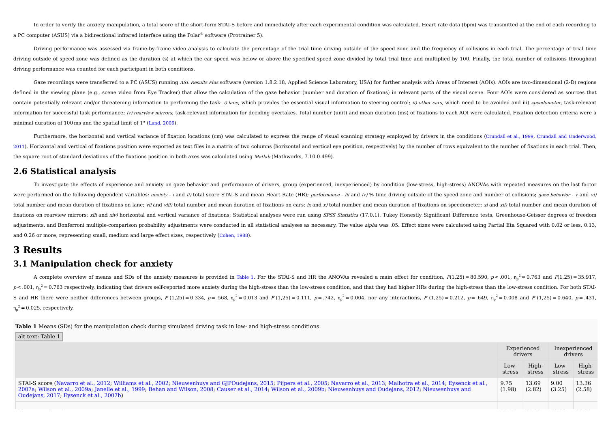In order to verify the anxiety manipulation, a total score of the short-form STAI-S before and immediately after each experimental condition was calculated. Heart rate data (bpm) was transmitted at the end of each recordin **a** PC computer (ASUS) via a bidirectional infrared interface using the Polar<sup>®</sup> software (Protrainer 5).

Driving performance was assessed via frame-by-frame video analysis to calculate the percentage of the trial time driving outside of the speed zone and the frequency of collisions in each trial. The percentage of trial time driving outside of speed zone was defined as the duration (s) at which the car speed was below or above the specified speed zone divided by total trial time and multiplied by 100. Finally, the total number of collisions th driving performance was counted for each participant in both conditions.

Gaze recordings were transferred to a PC (ASUS) running ASL Results Plus software (version 1.8.2.18. Applied Science Laboratory. USA) for further analysis with Areas of Interest (AOIs). AOIs are two-dimensional (2-D) regio defined in the viewing plane (e.g., scene video from Eye Tracker) that allow the calculation of the gaze behavior (number and duration of fixations) in relevant parts of the visual scene. Four AOIs were considered as sourc contain potentially relevant and/or threatening information to performing the task: i) lane, which provides the essential visual information to steering control; ii) other cars, which need to be avoided and iii) speedomete information for successful task performance; iv) rearview mirrors, task-relevant information for deciding overtakes. Total number (unit) and mean duration (ms) of fixations to each AOI were calculated. Fixation detection c minimal duration of 100 ms and the spatial limit of 1° (Land, 2006).

Furthermore, the horizontal and vertical variance of fixation locations (cm) was calculated to express the range of visual scanning strategy employed by drivers in the conditions (Crundall et al., 1999, Crundall and Underw 2011). Horizontal and vertical of fixations position were exported as text files in a matrix of two columns (horizontal and vertical eve position, respectively) by the number of rows equivalent to the number of fixations i the square root of standard deviations of the fixations position in both axes was calculated using *Matlab* (Mathworks, 7.10.0.499).

### **2.6 Statistical analysis**

To investigate the effects of experience and anxiety on gaze behavior and performance of drivers, group (experienced, inexperienced) by condition (low-stress, high-stress) ANOVAs with repeated measures on the last factor were performed on the following dependent variables: anxiety - i and ii) total score STAI-S and mean Heart Rate (HR); performance - iii and iv) % time driving outside of the speed zone and number of collisions; gaze behavi total number and mean duration of fixations on lane; vii and viii) total number and mean duration of fixations on cars; ix and x) total number and mean duration of fixations on speedometer; xi and xii) total number and mea fixations on rearview mirrors: *xiii* and *xiv*) horizontal and vertical variance of fixations: Statistical analyses were run using *SPSS Statistics* (17.0.1). Tukey Honestly Significant Difference tests. Greenhouse-Geisse adjustments, and Bonferroni multiple-comparison probability adjustments were conducted in all statistical analyses as necessary. The value alpha was .05. Effect sizes were calculated using Partial Eta Squared with 0.02 or and 0.26 or more, representing small, medium and large effect sizes, respectively (Cohen, 1988).

# **3 Results**

alt-text: Table 1

## **3.1 Manipulation check for anxiety**

A complete overview of means and SDs of the anxiety measures is provided in Table 1. For the STAI-S and HR the ANOVAs revealed a main effect for condition,  $F(1,25) = 80.590$ ,  $p < .001$ ,  $n_p^2 = 0.763$  and  $F(1,25) = 35.917$ ,  $p$  < .001,  $n_p^2$  = 0.763 respectively, indicating that drivers self-reported more anxiety during the high-stress than the low-stress condition, and that they had higher HRs during the high-stress than the low-stress con S and HR there were neither differences between groups,  $F(1,25) = 0.334$ ,  $p = .568$ ,  $n_p^2 = 0.013$  and  $F(1,25) = 0.111$ ,  $p = .742$ ,  $n_p^2 = 0.004$ , nor any interactions,  $F(1,25) = 0.212$ ,  $p = .649$ ,  $n_p^2 = 0.008$  and  $F(1,25)$  $\eta_p^2 = 0.025$ , respectively.

**Table 1** Means (SDs) for the manipulation check during simulated driving task in low- and high-stress conditions.

|                                                                                                                                                                                                                                                                                                                                                                                                     |  | Experienced<br>drivers |                 | Inexperienced<br>drivers |                 |
|-----------------------------------------------------------------------------------------------------------------------------------------------------------------------------------------------------------------------------------------------------------------------------------------------------------------------------------------------------------------------------------------------------|--|------------------------|-----------------|--------------------------|-----------------|
|                                                                                                                                                                                                                                                                                                                                                                                                     |  | Low-<br>stress         | Hiah-<br>stress | Low-<br>stress           | High-<br>stress |
| STAI-S score (Navarro et al., 2012; Williams et al., 2002; Nieuwenhuys and GJPOudejans, 2015; Pijpers et al., 2005; Navarro et al., 2013; Malhotra et al., 2014; Eysenck et al.,<br>2007a; Wilson et al., 2009a; Janelle et al., 1999; Behan and Wilson, 2008; Causer et al., 2014; Wilson et al., 2009b; Nieuwenhuys and Oudejans, 2012; Nieuwenhuys and<br>Oudejans, 2017; Eysenck et al., 2007b) |  | 9.75<br>(1.98)         | 13.69<br>(2.82) | 9.00<br>(3.25)           | 13.36<br>(2.58) |
|                                                                                                                                                                                                                                                                                                                                                                                                     |  |                        |                 |                          |                 |

**Heart Company of the Company of the Company of the Company of the Company of the Company of the Company of the Company of the Company of the Company of the Company of the Company of the Company of the Company of the Compa**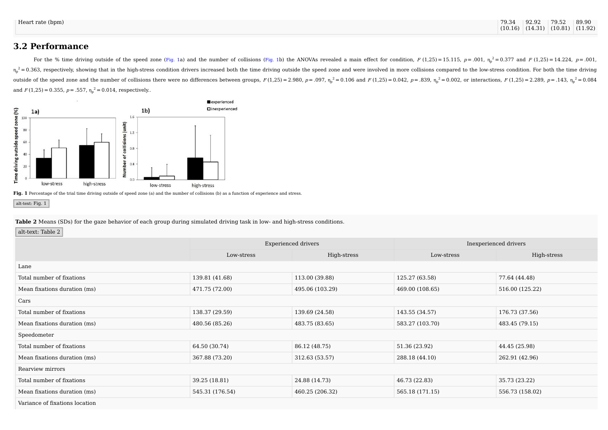| Heart rate (bpm) | 79.34                                    | 92.92 | 179.52 | 89.90 |
|------------------|------------------------------------------|-------|--------|-------|
|                  | $ (10.16)   (14.31)   (10.81)   (11.92)$ |       |        |       |

# **3.2 Performance**

For the % time driving outside of the speed zone (Fig. 1a) and the number of collisions (Fig. 1b) the ANOVAs revealed a main effect for condition,  $F(1,25) = 15.115$ ,  $p = .001$ ,  $\eta_p^2 = 0.377$  and  $F(1,25) = 14.224$ ,  $p = .001$  $n_p^2$  = 0.363, respectively, showing that in the high-stress condition drivers increased both the time driving outside the speed zone and were involved in more collisions compared to the low-stress condition. For both th outside of the speed zone and the number of collisions there were no differences between groups,  $F(1,25) = 2.980$ ,  $p = .097$ ,  $\eta_p^2 = 0.106$  and  $F(1,25) = 0.042$ ,  $p = .839$ ,  $\eta_p^2 = 0.002$ , or interactions,  $F(1,25) = 2.289$ **and**  $F(1,25) = 0.355$ ,  $p = .557$ ,  $\eta_p^2 = 0.014$ , respectively..





alt-text: Fig. 1

#### **Table 2** Means (SDs) for the gaze behavior of each group during simulated driving task in low- and high-stress conditions.

alt-text: Table 2

|                                | <b>Experienced drivers</b> |                 | Inexperienced drivers |                 |  |  |
|--------------------------------|----------------------------|-----------------|-----------------------|-----------------|--|--|
|                                | Low-stress                 | High-stress     | Low-stress            | High-stress     |  |  |
| Lane                           |                            |                 |                       |                 |  |  |
| Total number of fixations      | 139.81 (41.68)             | 113.00 (39.88)  | 125.27 (63.58)        | 77.64 (44.48)   |  |  |
| Mean fixations duration (ms)   | 471.75 (72.00)             | 495.06 (103.29) | 469.00 (108.65)       | 516.00 (125.22) |  |  |
| Cars                           |                            |                 |                       |                 |  |  |
| Total number of fixations      | 138.37 (29.59)             | 139.69 (24.58)  | 143.55 (34.57)        | 176.73 (37.56)  |  |  |
| Mean fixations duration (ms)   | 480.56 (85.26)             | 483.75 (83.65)  | 583.27 (103.70)       | 483.45 (79.15)  |  |  |
| Speedometer                    |                            |                 |                       |                 |  |  |
| Total number of fixations      | 64.50 (30.74)              | 86.12 (48.75)   | 51.36 (23.92)         | 44.45 (25.98)   |  |  |
| Mean fixations duration (ms)   | 367.88 (73.20)             | 312.63 (53.57)  | 288.18 (44.10)        | 262.91 (42.96)  |  |  |
| Rearview mirrors               |                            |                 |                       |                 |  |  |
| Total number of fixations      | 39.25 (18.81)              | 24.88 (14.73)   | 46.73 (22.83)         | 35.73 (23.22)   |  |  |
| Mean fixations duration (ms)   | 545.31 (176.54)            | 460.25 (206.32) | 565.18 (171.15)       | 556.73 (158.02) |  |  |
| Variance of fixations location |                            |                 |                       |                 |  |  |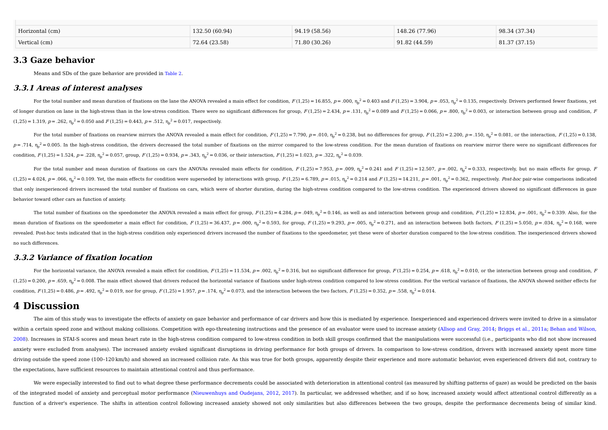| Horizontal (cm) | 132.50 (60.94) | 94.19 (58.56) | 148.26 (77.96) | 98.34 (37.34) |
|-----------------|----------------|---------------|----------------|---------------|
| Vertical (cm)   | 72.64 (23.58)  | 71.80 (30.26) | 91.82 (44.59)  | 81.37 (37.15) |

## **3.3 Gaze behavior**

Means and SDs of the gaze behavior are provided in Table 2.

### **3.3.1 Areas of interest analyses**

For the total number and mean duration of fixations on the lane the ANOVA revealed a main effect for condition,  $F(1,25) = 16.855$ ,  $p = .000$ ,  $\eta_p^2 = 0.403$  and  $F(1,25) = 3.904$ ,  $p = .053$ ,  $\eta_p^2 = 0.135$ , respectively. Dri of longer duration on lane in the high-stress than in the low-stress condition. There were no significant differences for group,  $F(1,25) = 2.434$ ,  $p = .131$ ,  $n_p^2 = 0.089$  and  $F(1,25) = 0.066$ ,  $p = .800$ ,  $n_p^2 = 0.003$ , or **(1,25)** = 1.319,  $p = .262$ ,  $\eta_p^2 = 0.050$  and  $F(1,25) = 0.443$ ,  $p = .512$ ,  $\eta_p^2 = 0.017$ , respectively.

For the total number of fixations on rearview mirrors the ANOVA revealed a main effect for condition,  $F(1,25) = 7.790$ ,  $p = .010$ ,  $\eta_p^2 = 0.238$ , but no differences for group,  $F(1,25) = 2.200$ ,  $p = .150$ ,  $\eta_p^2 = 0.081$ , o  $p = .714$ ,  $\eta_p^2 = 0.005$ . In the high-stress condition, the drivers decreased the total number of fixations on the mirror compared to the low-stress condition. For the mean duration of fixations on rearview mirror there w condition,  $F(1,25) = 1.524$ ,  $p = .228$ ,  $\eta_p^2 = 0.057$ , group,  $F(1,25) = 0.934$ ,  $p = .343$ ,  $\eta_p^2 = 0.036$ , or their interaction,  $F(1,25) = 1.023$ ,  $p = .322$ ,  $\eta_p^2 = 0.039$ .

For the total number and mean duration of fixations on cars the ANOVAs revealed main effects for condition,  $F(1,25) = 7.953$ ,  $p = .009$ ,  $\eta_p^2 = 0.241$  and  $F(1,25) = 12.507$ ,  $p = .002$ ,  $\eta_p^2 = 0.333$ , respectively, but no (1,25) = 4.024, p = .066,  $\eta_p^2$  = 0.109. Yet, the main effects for condition were superseded by interactions with group,  $F(1,25)$  = 6.789, p = .015,  $\eta_p^2$  = 0.214 and  $F(1,25)$  = 14.211, p = .001,  $\eta_p^2$  = 0.362, re that only inexperienced drivers increased the total number of fixations on cars, which were of shorter duration, during the high-stress condition compared to the low-stress condition. The experienced drivers showed no sign behavior toward other cars as function of anxiety.

The total number of fixations on the speedometer the ANOVA revealed a main effect for group,  $F(1,25) = 4.284$ ,  $p = .049$ ,  $n_p^2 = 0.146$ , as well as and interaction between group and condition,  $F(1,25) = 12.834$ ,  $p = .001$ , mean duration of fixations on the speedometer a main effect for condition,  $F(1,25) = 36.437$ ,  $p = .000$ ,  $n_p^2 = 0.593$ , for group,  $F(1,25) = 9.293$ ,  $p = .005$ ,  $n_p^2 = 0.271$ , and an interaction between both factors,  $F(1,25$ revealed. Post-hoc tests indicated that in the high-stress condition only experienced drivers increased the number of fixations to the speedometer, yet these were of shorter duration compared to the low-stress condition. T **no such differences.**

#### **3.3.2 Variance of fixation location**

For the horizontal variance, the ANOVA revealed a main effect for condition,  $F(1,25) = 11.534$ ,  $p = .002$ ,  $\eta_p^2 = 0.316$ , but no significant difference for group,  $F(1,25) = 0.254$ ,  $p = .618$ ,  $\eta_p^2 = 0.010$ , or the interac (1,25) = 0.200,  $p = .659$ ,  $\eta_p^2 = 0.008$ . The main effect showed that drivers reduced the horizontal variance of fixations under high-stress condition compared to low-stress condition. For the vertical variance of fixatio condition,  $F(1,25) = 0.486$ ,  $p = .492$ ,  $\eta_p^2 = 0.019$ , nor for group,  $F(1,25) = 1.957$ ,  $p = .174$ ,  $\eta_p^2 = 0.073$ , and the interaction between the two factors,  $F(1,25) = 0.352$ ,  $p = .558$ ,  $\eta_p^2 = 0.014$ .

# **4 Discussion**

The aim of this study was to investigate the effects of anxiety on gaze behavior and performance of car drivers and how this is mediated by experience. Inexperienced and experienced drivers were invited to drive in a simul within a certain speed zone and without making collisions. Competition with ego-threatening instructions and the presence of an evaluator were used to increase anxiety (Allsop and Gray, 2014; Briggs et al., 2011a; Behan an 2008). Increases in STAI-S scores and mean heart rate in the high-stress condition compared to low-stress condition in both skill groups confirmed that the manipulations were successful (i.e., participants who did not show anxiety were excluded from analyses). The increased anxiety evoked significant disruptions in driving performance for both groups of drivers. In comparison to low-stress condition, drivers with increased anxiety spent more driving outside the speed zone (100-120 km/h) and showed an increased collision rate. As this was true for both groups, apparently despite their experience and more automatic behavior, even experienced drivers did not, con the expectations, have sufficient resources to maintain attentional control and thus performance.

We were especially interested to find out to what degree these performance decrements could be associated with deterioration in attentional control (as measured by shifting patterns of gaze) as would be predicted on the ba of the integrated model of anxiety and perceptual motor performance (Nieuwenhuys and Oudejans, 2012, 2017). In particular, we addressed whether, and if so how, increased anxiety would affect attentional control differently function of a driver's experience. The shifts in attention control following increased anxiety showed not only similarities but also differences between the two groups, despite the performance decrements being of similar k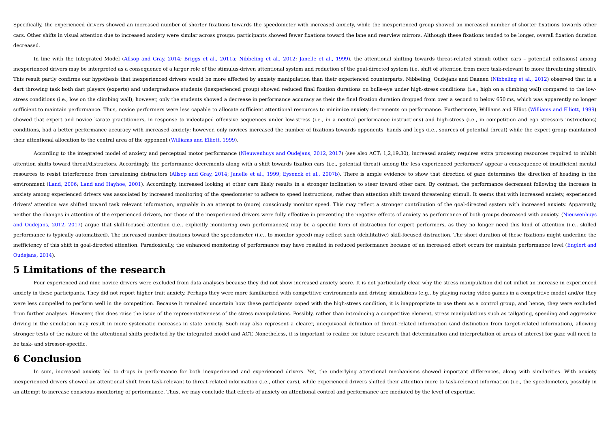Specifically, the experienced drivers showed an increased number of shorter fixations towards the speedometer with increased anxiety, while the inexperienced group showed an increased number of shorter fixations towards ot cars. Other shifts in visual attention due to increased anxiety were similar across groups: participants showed fewer fixations toward the lane and rearview mirrors. Although these fixations tended to be longer, overall fi **decreased.**

In line with the Integrated Model (Allsop and Gray, 2014; Briggs et al., 2011a; Nibbeling et al., 2012; Janelle et al., 1999), the attentional shifting towards threat-related stimuli (other cars - potential collisions) amo inexperienced drivers may be interpreted as a consequence of a larger role of the stimulus-driven attentional system and reduction of the goal-directed system (i.e. shift of attention from more task-relevant to more threat This result partly confirms our hypothesis that inexperienced drivers would be more affected by anxiety manipulation than their experienced counterparts. Nibbeling, Oudejans and Daanen (Nibbeling et al., 2012) observed tha dart throwing task both dart players (experts) and undergraduate students (inexperienced group) showed reduced final fixation durations on bulls-eye under high-stress conditions (i.e., high on a climbing wall) compared to stress conditions (i.e., low on the climbing wall); however, only the students showed a decrease in performance accuracy as their the final fixation duration dropped from over a second to below 650 ms, which was apparently sufficient to maintain performance. Thus, novice performers were less capable to allocate sufficient attentional resources to minimize anxiety decrements on performance. Furthermore, Williams and Elliot (Williams and Ellio showed that expert and novice karate practitioners, in response to videotaped offensive sequences under low-stress (i.e., in a neutral performance instructions) and high-stress (i.e., in competition and ego stressors instr conditions, had a better performance accuracy with increased anxiety; however, only novices increased the number of fixations towards opponents' hands and legs (i.e., sources of potential threat) while the expert group mai their attentional allocation to the central area of the opponent (Williams and Elliott, 1999).

According to the integrated model of anxiety and perceptual motor performance (Nieuwenhuys and Oudejans, 2012, 2017) (see also ACT; 1,2,19,30), increased anxiety requires extra processing resources required to inhibit attention shifts toward threat/distractors. Accordingly, the performance decrements along with a shift towards fixation cars (i.e., potential threat) among the less experienced performers' appear a consequence of insuffici resources to resist interference from threatening distractors (Allsop and Gray, 2014; Janelle et al., 1999; Eysenck et al., 2007b). There is ample evidence to show that direction of gaze determines the direction of heading environment (Land, 2006; Land and Hayhoe, 2001). Accordingly, increased looking at other cars likely results in a stronger inclination to steer toward other cars. By contrast, the performance decrement following the increa anxiety among experienced drivers was associated by increased monitoring of the speedometer to adhere to speed instructions, rather than attention shift toward threatening stimuli. It seems that with increased anxiety, exp drivers' attention was shifted toward task relevant information, arguably in an attempt to (more) consciously monitor speed. This may reflect a stronger contribution of the goal-directed system with increased anxiety. Appa neither the changes in attention of the experienced drivers, nor those of the inexperienced drivers were fully effective in preventing the negative effects of anxiety as performance of both groups decreased with anxiety. ( and Oudejans, 2012, 2017) arque that skill-focused attention (i.e., explicitly monitoring own performances) may be a specific form of distraction for expert performers, as they no longer need this kind of attention (i.e., performance is typically automatized). The increased number fixations toward the speedometer (i.e., to monitor speed) may reflect such (debilitative) skill-focused distraction. The short duration of these fixations might u inefficiency of this shift in goal-directed attention. Paradoxically, the enhanced monitoring of performance may have resulted in reduced performance because of an increased effort occurs for maintain performance level (En **Oudejans, 2014).**

# **5 Limitations of the research**

Four experienced and nine novice drivers were excluded from data analyses because they did not show increased anxiety score. It is not particularly clear why the stress manipulation did not inflict an increase in experienc anxiety in these participants. They did not report higher trait anxiety. Perhaps they were more familiarized with competitive environments and driving simulations (e.g., by playing racing video games in a competitive mode) were less compelled to perform well in the competition. Because it remained uncertain how these participants coped with the high-stress condition, it is inappropriate to use them as a control group, and hence, they were ex from further analyses. However, this does raise the issue of the representativeness of the stress manipulations. Possibly, rather than introducing a competitive element, stress manipulations such as tailgating, speeding an driving in the simulation may result in more systematic increases in state anxiety. Such may also represent a clearer, unequivocal definition of threat-related information (and distinction from target-related information), stronger tests of the nature of the attentional shifts predicted by the integrated model and ACT. Nonetheless, it is important to realize for future research that determination and interpretation of areas of interest for g be task- and stressor-specific.

## **6 Conclusion**

In sum, increased anxiety led to drops in performance for both inexperienced and experienced drivers. Yet, the underlying attentional mechanisms showed important differences, along with similarities. With anxiety inexperienced drivers showed an attentional shift from task-relevant to threat-related information (i.e., other cars), while experienced drivers shifted their attention more to task-relevant information (i.e., the speedome an attempt to increase conscious monitoring of performance. Thus, we may conclude that effects of anxiety on attentional control and performance are mediated by the level of expertise.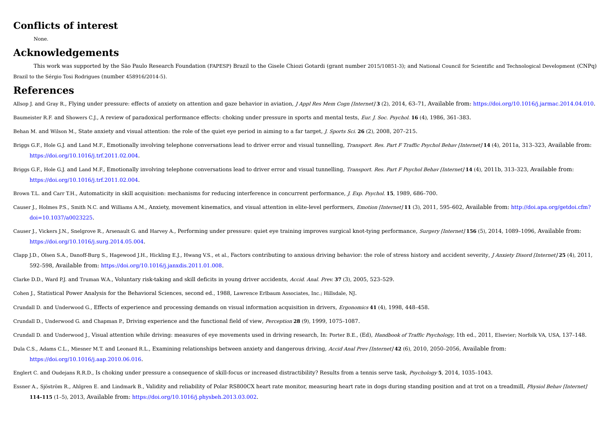# **Conflicts of interest**

**None.**

# **Acknowledgements**

This work was supported by the São Paulo Research Foundation (FAPESP) Brazil to the Gisele Chiozi Gotardi (grant number 2015/10851-3); and National Council for Scientific and Technological Development (CNPq) Brazil to the Sérgio Tosi Rodrigues (number 458916/2014-5).

# **References**

Allsop J. and Gray R., Flying under pressure: effects of anxiety on attention and gaze behavior in aviation, *J Appl Res Mem Cogn [Internet]* 3 (2), 2014, 63-71, Available from: https://doi.org/10.1016/j.jarmac.2014.04.010

Baumeister R.F. and Showers C.J., A review of paradoxical performance effects: choking under pressure in sports and mental tests, *Eur. J. Soc. Psychol.* **16** (4), 1986, 361-383.

Behan M. and Wilson M., State anxiety and visual attention: the role of the quiet eye period in aiming to a far target, *I. Sports Sci.* **26** (2), 2008, 207-215.

- Briggs G.F., Hole G.J. and Land M.F., Emotionally involving telephone conversations lead to driver error and visual tunnelling, Transport. Res. Part F Traffic Psychol Behav [Internet] 14 (4), 2011a, 313-323, Available from **https://doi.org/10.1016/j.trf.2011.02.004.**
- Briggs G.F., Hole G.J. and Land M.F., Emotionally involving telephone conversations lead to driver error and visual tunnelling, Transport. Res. Part F Psychol Behav [Internet] 14 (4), 2011b, 313-323, Available from: **https://doi.org/10.1016/j.trf.2011.02.004.**

Brown T.L. and Carr T.H., Automaticity in skill acquisition: mechanisms for reducing interference in concurrent performance, *J. Exp. Psychol.* **15**, 1989, 686-700.

- Causer J., Holmes P.S., Smith N.C. and Williams A.M., Anxiety, movement kinematics, and visual attention in elite-level performers, *Emotion [Internet]* 11 (3), 2011, 595-602, Available from: http://doi.apa.org/qetdoi.cfm? **doi=10.1037/a0023225.**
- Causer J., Vickers J.N., Snelgrove R., Arsenault G. and Harvey A., Performing under pressure: quiet eve training improves surgical knot-tying performance, Surgery [Internet] 156 (5), 2014, 1089-1096, Available from: **https://doi.org/10.1016/j.surg.2014.05.004.**
- Clapp J.D., Olsen S.A., Danoff-Burg S., Hagewood J.H., Hickling E.J., Hwang V.S., et al., Factors contributing to anxious driving behavior: the role of stress history and accident severity, *J Anxiety Disord [Internet]* 25 **592–598, Available from: https://doi.org/10.1016/j.janxdis.2011.01.008.**
- Clarke D.D., Ward P.J. and Truman W.A., Voluntary risk-taking and skill deficits in young driver accidents, *Accid. Anal. Prev.* 37 (3), 2005, 523-529.

Cohen J., Statistical Power Analysis for the Behavioral Sciences, second ed., 1988, Lawrence Erlbaum Associates, Inc.; Hillsdale, NJ.

Crundall D. and Underwood G., Effects of experience and processing demands on visual information acquisition in drivers, *Ergonomics* 41 (4), 1998, 448-458.

**Crundall D., Underwood G. and Chapman P., Driving experience and the functional field of view, Perception 28 (9), 1999, 1075–1087.**

Crundall D. and Underwood J., Visual attention while driving: measures of eye movements used in driving research, In: Porter B.E., (Ed), Handbook of Traffic Psychology, 1th ed., 2011, Elsevier; Norfolk VA, USA, 137-148.

Dula C.S., Adams C.L., Miesner M.T. and Leonard R.L., Examining relationships between anxiety and dangerous driving, *Accid Anal Prev* [Internet] **42** (6), 2010, 2050-2056, Available from: **https://doi.org/10.1016/j.aap.2010.06.016.**

Englert C. and Oudejans R.R.D., Is choking under pressure a consequence of skill-focus or increased distractibility? Results from a tennis serve task, *Psychology* 5, 2014, 1035-1043.

Essner A., Sjöström R., Ahlgren E. and Lindmark B., Validity and reliability of Polar RS800CX heart rate monitor, measuring heart rate in dogs during standing position and at trot on a treadmill, Physiol Behav [Internet] **114–115 (1–5), 2013, Available from: https://doi.org/10.1016/j.physbeh.2013.03.002.**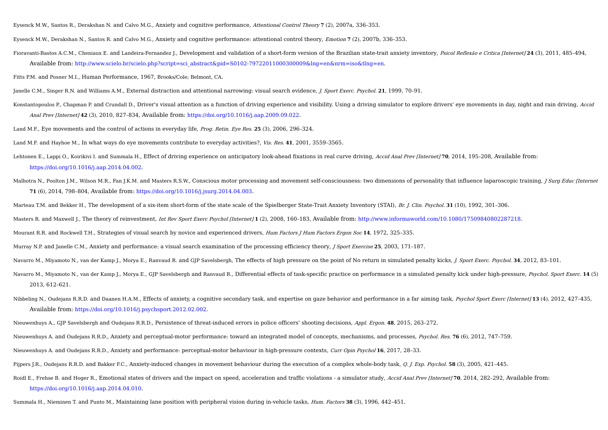Eysenck M.W., Santos R., Derakshan N. and Calvo M.G., Anxiety and cognitive performance, *Attentional Control Theory* **7** (2), 2007a, 336-353.

Eysenck M.W., Derakshan N., Santos R. and Calvo M.G., Anxiety and cognitive performance: attentional control theory, *Emotion* 7 (2), 2007b, 336-353.

Fioravanti-Bastos A.C.M., Cheniaux E. and Landeira-Fernandez L. Development and validation of a short-form version of the Brazilian state-trait anxiety inventory. Psicol Reflexão e Crítica (Internet124 (3), 2011, 485-494.  $A$ vailable from: http://www.scielo.br/scielo.php?script=sci\_abstract&pid=S0102-7972201100030009&lng=en&nrm=iso&tlng=en.

Fitts P.M. and Posner M.I., Human Performance, 1967, Brooks/Cole: Belmont, CA.

**Janelle C.M., Singer R.N. and Williams A.M., External distraction and attentional narrowing: visual search evidence,** *J. Sport Exerc. Psychol.* **<b>21**, 1999, 70-91.

Konstantopoulos P. Chapman P. and Crundall D., Driver's visual attention as a function of driving experience and visibility. Using a driving simulator to explore drivers' eve movements in day, night and rain driving, Accid **Anal Prev [Internet] 42 (3), 2010, 827–834, Available from: https://doi.org/10.1016/j.aap.2009.09.022.**

Land M.F., Eye movements and the control of actions in everyday life, *Prog. Retin. Eye Res.* **25** (3), 2006, 296-324.

**Land M.F. and Hayhoe M., In what ways do eye movements contribute to everyday activities?, Vis. Res. 41, 2001, 3559–3565.**

Lehtonen E., Lappi O., Koirikivi I. and Summala H., Effect of driving experience on anticipatory look-ahead fixations in real curve driving, Accid Anal Prev [Internet] 70, 2014, 195-208, Available from: **https://doi.org/10.1016/j.aap.2014.04.002.**

Malhotra N., Poolton J.M., Wilson M.R., Fan J.K.M. and Masters R.S.W., Conscious motor processing and movement self-consciousness: two dimensions of personality that influence laparoscopic training, J Surg Educ [Internet **71 (6), 2014, 798–804, Available from: https://doi.org/10.1016/j.jsurg.2014.04.003.**

Marteau T.M. and Bekker H., The development of a six-item short-form of the state scale of the Spielberger State-Trait Anxiety Inventory (STAI), *Br. I. Clin. Psychol.* **31** (10), 1992, 301-306.

Masters R. and Maxwell J., The theory of reinvestment, Int Rev Sport Exerc Psychol [Internet] **1** (2), 2008, 160-183, Available from: http://www.informaworld.com/10.1080/17509840802287218.

Mourant R.R. and Rockwell T.H., Strategies of visual search by novice and experienced drivers, *Hum Factors I Hum Factors Ergon Soc* 14, 1972, 325-335.

**Murray** N.P. and Janelle C.M., Anxiety and performance: a visual search examination of the processing efficiency theory, *I Sport Exercise* 25, 2003, 171-187.

Navarro M., Miyamoto N., van der Kamp I., Morya E., Ranvaud R. and GIP Savelsbergh, The effects of high pressure on the point of No return in simulated penalty kicks, *J. Sport Exerc. Psychol.* 34, 2012, 83-101.

- Navarro M., Miyamoto N., van der Kamp J., Morya E., GJP Savelsbergh and Ranvaud R., Differential effects of task-specific practice on performance in a simulated penalty kick under high-pressure, Psychol. Sport Exerc. 14 (5 **2013, 612–621.**
- Nibbeling N., Oudejans R.R.D. and Daanen H.A.M., Effects of anxiety, a cognitive secondary task, and expertise on gaze behavior and performance in a far aiming task, Psychol Sport Exerc [Internet] 13 (4), 2012, 427-435, **Available from: https://doi.org/10.1016/j.psychsport.2012.02.002.**
- Nieuwenhuys A., GJP Savelsbergh and Oudejans R.R.D., Persistence of threat-induced errors in police officers' shooting decisions, *Appl. Ergon.* **48**, 2015, 263-272.
- Nieuwenhuys A. and Oudejans R.R.D., Anxiety and perceptual-motor performance: toward an integrated model of concepts, mechanisms, and processes, Psychol. Res. 76 (6), 2012, 747-759.

**Nieuwenhuys A. and Oudejans R.R.D., Anxiety and performance: perceptual-motor behaviour in high-pressure contexts, Curr Opin Psychol 16, 2017, 28–33.**

Pijpers J.R., Oudejans R.R.D. and Bakker F.C., Anxiety-induced changes in movement behaviour during the execution of a complex whole-body task, Q. J. Exp. Psychol. **58** (3), 2005, 421-445.

#### Roidl E., Frehse B. and Hoger R., Emotional states of drivers and the impact on speed, acceleration and traffic violations - a simulator study, Accid Anal Prev [Internet] 70, 2014, 282-292, Available from: **https://doi.org/10.1016/j.aap.2014.04.010.**

Summala H., Nieminen T. and Punto M., Maintaining lane position with peripheral vision during in-vehicle tasks, *Hum. Factors* **38** (3), 1996, 442-451.